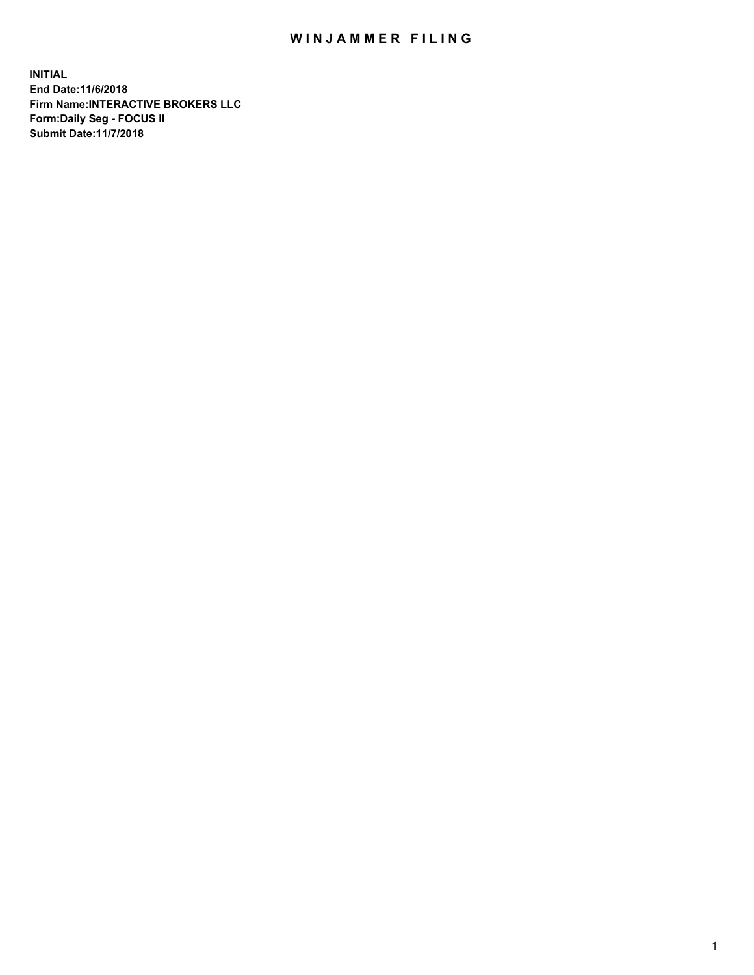## WIN JAMMER FILING

**INITIAL End Date:11/6/2018 Firm Name:INTERACTIVE BROKERS LLC Form:Daily Seg - FOCUS II Submit Date:11/7/2018**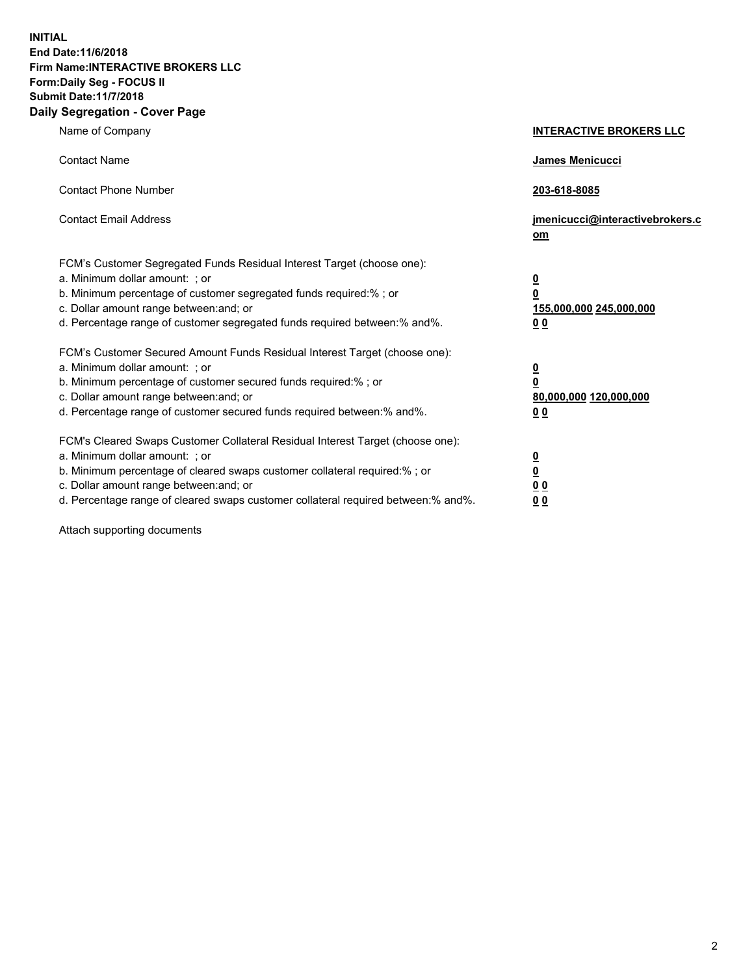**INITIAL End Date:11/6/2018 Firm Name:INTERACTIVE BROKERS LLC Form:Daily Seg - FOCUS II Submit Date:11/7/2018 Daily Segregation - Cover Page**

| Name of Company                                                                                                                                                                                                                                                                                                                | <b>INTERACTIVE BROKERS LLC</b>                                                                  |
|--------------------------------------------------------------------------------------------------------------------------------------------------------------------------------------------------------------------------------------------------------------------------------------------------------------------------------|-------------------------------------------------------------------------------------------------|
| <b>Contact Name</b>                                                                                                                                                                                                                                                                                                            | James Menicucci                                                                                 |
| <b>Contact Phone Number</b>                                                                                                                                                                                                                                                                                                    | 203-618-8085                                                                                    |
| <b>Contact Email Address</b>                                                                                                                                                                                                                                                                                                   | jmenicucci@interactivebrokers.c<br>om                                                           |
| FCM's Customer Segregated Funds Residual Interest Target (choose one):<br>a. Minimum dollar amount: ; or<br>b. Minimum percentage of customer segregated funds required:% ; or<br>c. Dollar amount range between: and; or<br>d. Percentage range of customer segregated funds required between:% and%.                         | $\overline{\mathbf{0}}$<br>$\overline{\mathbf{0}}$<br>155,000,000 245,000,000<br>0 <sub>0</sub> |
| FCM's Customer Secured Amount Funds Residual Interest Target (choose one):<br>a. Minimum dollar amount: ; or<br>b. Minimum percentage of customer secured funds required:% ; or<br>c. Dollar amount range between: and; or<br>d. Percentage range of customer secured funds required between:% and%.                           | $\overline{\mathbf{0}}$<br>0<br>80,000,000 120,000,000<br>0 <sub>0</sub>                        |
| FCM's Cleared Swaps Customer Collateral Residual Interest Target (choose one):<br>a. Minimum dollar amount: ; or<br>b. Minimum percentage of cleared swaps customer collateral required:% ; or<br>c. Dollar amount range between: and; or<br>d. Percentage range of cleared swaps customer collateral required between:% and%. | $\overline{\mathbf{0}}$<br><u>0</u><br>$\underline{0}$ $\underline{0}$<br>00                    |

Attach supporting documents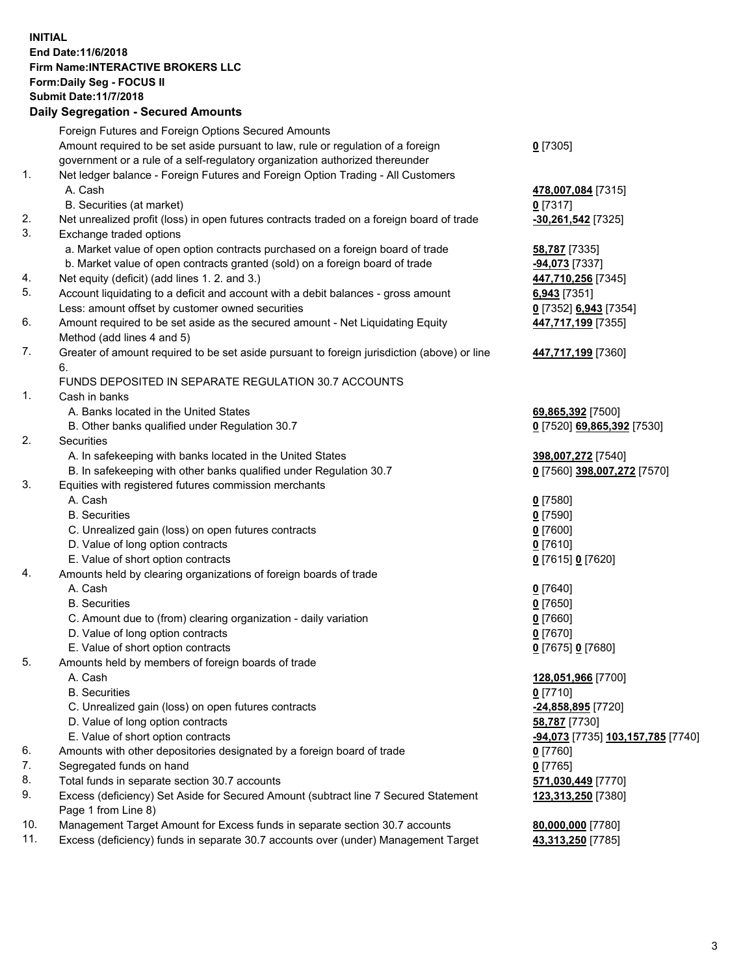## **INITIAL End Date:11/6/2018 Firm Name:INTERACTIVE BROKERS LLC Form:Daily Seg - FOCUS II Submit Date:11/7/2018 Daily Segregation - Secured Amounts**

|     | Daily Segregation - Secured Amounts                                                                  |                                   |
|-----|------------------------------------------------------------------------------------------------------|-----------------------------------|
|     | Foreign Futures and Foreign Options Secured Amounts                                                  |                                   |
|     | Amount required to be set aside pursuant to law, rule or regulation of a foreign                     | $0$ [7305]                        |
|     | government or a rule of a self-regulatory organization authorized thereunder                         |                                   |
| 1.  | Net ledger balance - Foreign Futures and Foreign Option Trading - All Customers                      |                                   |
|     | A. Cash                                                                                              | 478,007,084 [7315]                |
|     | B. Securities (at market)                                                                            | $0$ [7317]                        |
| 2.  | Net unrealized profit (loss) in open futures contracts traded on a foreign board of trade            | -30,261,542 [7325]                |
| 3.  | Exchange traded options                                                                              |                                   |
|     | a. Market value of open option contracts purchased on a foreign board of trade                       | 58,787 [7335]                     |
|     | b. Market value of open contracts granted (sold) on a foreign board of trade                         | -94,073 [7337]                    |
| 4.  | Net equity (deficit) (add lines 1. 2. and 3.)                                                        | 447,710,256 [7345]                |
| 5.  | Account liquidating to a deficit and account with a debit balances - gross amount                    | 6,943 [7351]                      |
|     | Less: amount offset by customer owned securities                                                     | 0 [7352] 6,943 [7354]             |
| 6.  | Amount required to be set aside as the secured amount - Net Liquidating Equity                       | 447,717,199 [7355]                |
|     | Method (add lines 4 and 5)                                                                           |                                   |
| 7.  | Greater of amount required to be set aside pursuant to foreign jurisdiction (above) or line          | 447,717,199 [7360]                |
|     | 6.                                                                                                   |                                   |
|     | FUNDS DEPOSITED IN SEPARATE REGULATION 30.7 ACCOUNTS                                                 |                                   |
| 1.  | Cash in banks                                                                                        |                                   |
|     | A. Banks located in the United States                                                                | 69,865,392 [7500]                 |
|     | B. Other banks qualified under Regulation 30.7                                                       | 0 [7520] 69,865,392 [7530]        |
| 2.  | Securities                                                                                           |                                   |
|     | A. In safekeeping with banks located in the United States                                            | 398,007,272 [7540]                |
|     | B. In safekeeping with other banks qualified under Regulation 30.7                                   | 0 [7560] 398,007,272 [7570]       |
| 3.  | Equities with registered futures commission merchants                                                |                                   |
|     | A. Cash                                                                                              | $0$ [7580]                        |
|     | <b>B.</b> Securities                                                                                 | $0$ [7590]                        |
|     | C. Unrealized gain (loss) on open futures contracts                                                  | $0$ [7600]                        |
|     | D. Value of long option contracts                                                                    | $0$ [7610]                        |
|     | E. Value of short option contracts                                                                   | 0 [7615] 0 [7620]                 |
| 4.  | Amounts held by clearing organizations of foreign boards of trade                                    |                                   |
|     | A. Cash                                                                                              | $0$ [7640]                        |
|     | <b>B.</b> Securities                                                                                 | $0$ [7650]                        |
|     |                                                                                                      | $0$ [7660]                        |
|     | C. Amount due to (from) clearing organization - daily variation<br>D. Value of long option contracts | $0$ [7670]                        |
|     |                                                                                                      |                                   |
| 5.  | E. Value of short option contracts                                                                   | 0 [7675] 0 [7680]                 |
|     | Amounts held by members of foreign boards of trade                                                   |                                   |
|     | A. Cash                                                                                              | 128,051,966 [7700]                |
|     | <b>B.</b> Securities                                                                                 | $0$ [7710]                        |
|     | C. Unrealized gain (loss) on open futures contracts                                                  | -24,858,895 [7720]                |
|     | D. Value of long option contracts                                                                    | 58,787 [7730]                     |
|     | E. Value of short option contracts                                                                   | -94,073 [7735] 103,157,785 [7740] |
| 6.  | Amounts with other depositories designated by a foreign board of trade                               | $0$ [7760]                        |
| 7.  | Segregated funds on hand                                                                             | $0$ [7765]                        |
| 8.  | Total funds in separate section 30.7 accounts                                                        | 571,030,449 [7770]                |
| 9.  | Excess (deficiency) Set Aside for Secured Amount (subtract line 7 Secured Statement                  | 123,313,250 [7380]                |
|     | Page 1 from Line 8)                                                                                  |                                   |
| 10. | Management Target Amount for Excess funds in separate section 30.7 accounts                          | 80,000,000 [7780]                 |
| 11. | Excess (deficiency) funds in separate 30.7 accounts over (under) Management Target                   | 43,313,250 [7785]                 |
|     |                                                                                                      |                                   |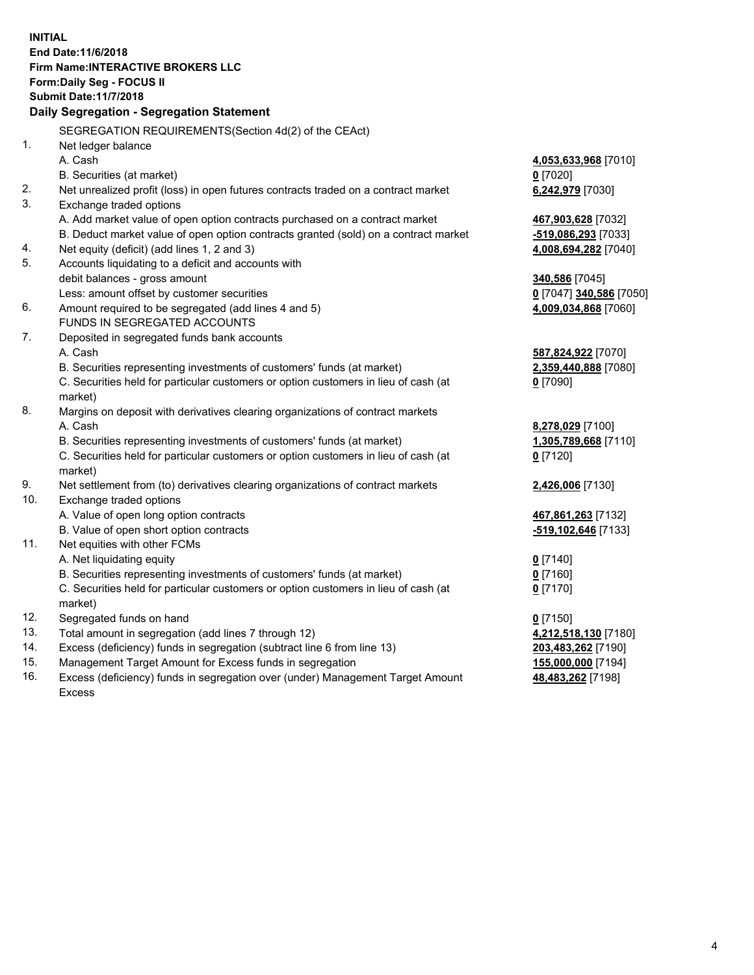**INITIAL End Date:11/6/2018 Firm Name:INTERACTIVE BROKERS LLC Form:Daily Seg - FOCUS II Submit Date:11/7/2018 Daily Segregation - Segregation Statement** SEGREGATION REQUIREMENTS(Section 4d(2) of the CEAct) 1. Net ledger balance A. Cash **4,053,633,968** [7010] B. Securities (at market) **0** [7020] 2. Net unrealized profit (loss) in open futures contracts traded on a contract market **6,242,979** [7030] 3. Exchange traded options A. Add market value of open option contracts purchased on a contract market **467,903,628** [7032] B. Deduct market value of open option contracts granted (sold) on a contract market **-519,086,293** [7033] 4. Net equity (deficit) (add lines 1, 2 and 3) **4,008,694,282** [7040] 5. Accounts liquidating to a deficit and accounts with debit balances - gross amount **340,586** [7045] Less: amount offset by customer securities **0** [7047] **340,586** [7050] 6. Amount required to be segregated (add lines 4 and 5) **4,009,034,868** [7060] FUNDS IN SEGREGATED ACCOUNTS 7. Deposited in segregated funds bank accounts A. Cash **587,824,922** [7070] B. Securities representing investments of customers' funds (at market) **2,359,440,888** [7080] C. Securities held for particular customers or option customers in lieu of cash (at market) **0** [7090] 8. Margins on deposit with derivatives clearing organizations of contract markets A. Cash **8,278,029** [7100] B. Securities representing investments of customers' funds (at market) **1,305,789,668** [7110] C. Securities held for particular customers or option customers in lieu of cash (at market) **0** [7120] 9. Net settlement from (to) derivatives clearing organizations of contract markets **2,426,006** [7130] 10. Exchange traded options A. Value of open long option contracts **467,861,263** [7132] B. Value of open short option contracts **-519,102,646** [7133] 11. Net equities with other FCMs A. Net liquidating equity **0** [7140] B. Securities representing investments of customers' funds (at market) **0** [7160] C. Securities held for particular customers or option customers in lieu of cash (at market) **0** [7170] 12. Segregated funds on hand **0** [7150] 13. Total amount in segregation (add lines 7 through 12) **4,212,518,130** [7180] 14. Excess (deficiency) funds in segregation (subtract line 6 from line 13) **203,483,262** [7190] 15. Management Target Amount for Excess funds in segregation **155,000,000** [7194]

16. Excess (deficiency) funds in segregation over (under) Management Target Amount Excess

**48,483,262** [7198]